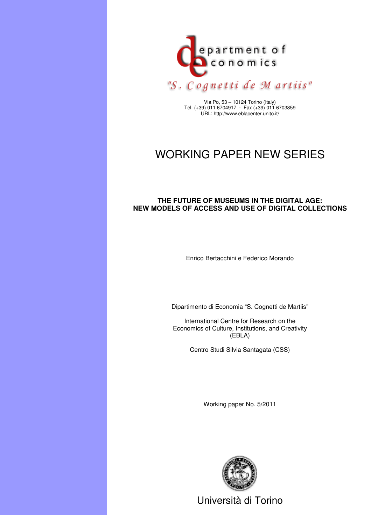

Via Po, 53 – 10124 Torino (Italy) Tel. (+39) 011 6704917 - Fax (+39) 011 6703859 URL: http://www.eblacenter.unito.it/

# WORKING PAPER NEW SERIES

## **THE FUTURE OF MUSEUMS IN THE DIGITAL AGE: NEW MODELS OF ACCESS AND USE OF DIGITAL COLLECTIONS**

Enrico Bertacchini e Federico Morando

Dipartimento di Economia "S. Cognetti de Martiis"

International Centre for Research on the Economics of Culture, Institutions, and Creativity (EBLA)

Centro Studi Silvia Santagata (CSS)

Working paper No. 5/2011



Università di Torino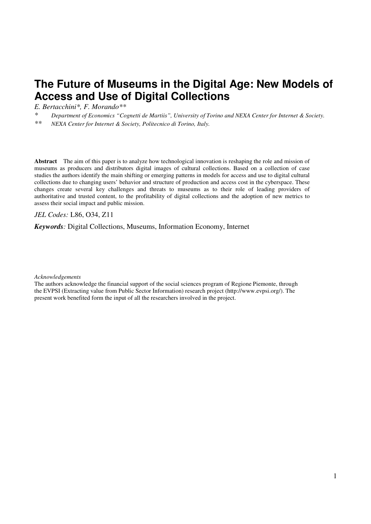# **The Future of Museums in the Digital Age: New Models of Access and Use of Digital Collections**

*E. Bertacchini\*, F. Morando\*\** 

*\* Department of Economics "Cognetti de Martiis", University of Torino and NEXA Center for Internet & Society.* 

*\*\* NEXA Center for Internet & Society, Politecnico di Torino, Italy.*

**Abstract** The aim of this paper is to analyze how technological innovation is reshaping the role and mission of museums as producers and distributors digital images of cultural collections. Based on a collection of case studies the authors identify the main shifting or emerging patterns in models for access and use to digital cultural collections due to changing users' behavior and structure of production and access cost in the cyberspace. These changes create several key challenges and threats to museums as to their role of leading providers of authoritative and trusted content, to the profitability of digital collections and the adoption of new metrics to assess their social impact and public mission.

#### *JEL Codes:* L86, O34, Z11

*Keywords:* Digital Collections, Museums, Information Economy, Internet

#### *Acknowledgements*

The authors acknowledge the financial support of the social sciences program of Regione Piemonte, through the EVPSI (Extracting value from Public Sector Information) research project (http://www.evpsi.org/). The present work benefited form the input of all the researchers involved in the project.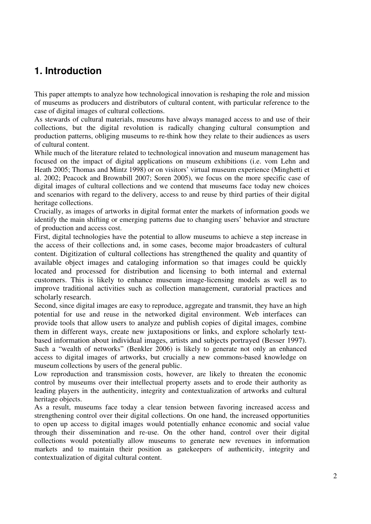## **1. Introduction**

This paper attempts to analyze how technological innovation is reshaping the role and mission of museums as producers and distributors of cultural content, with particular reference to the case of digital images of cultural collections.

As stewards of cultural materials, museums have always managed access to and use of their collections, but the digital revolution is radically changing cultural consumption and production patterns, obliging museums to re-think how they relate to their audiences as users of cultural content.

While much of the literature related to technological innovation and museum management has focused on the impact of digital applications on museum exhibitions (i.e. vom Lehn and Heath 2005; Thomas and Mintz 1998) or on visitors' virtual museum experience (Minghetti et al. 2002; Peacock and Brownbill 2007; Soren 2005), we focus on the more specific case of digital images of cultural collections and we contend that museums face today new choices and scenarios with regard to the delivery, access to and reuse by third parties of their digital heritage collections.

Crucially, as images of artworks in digital format enter the markets of information goods we identify the main shifting or emerging patterns due to changing users' behavior and structure of production and access cost.

First, digital technologies have the potential to allow museums to achieve a step increase in the access of their collections and, in some cases, become major broadcasters of cultural content. Digitization of cultural collections has strengthened the quality and quantity of available object images and cataloging information so that images could be quickly located and processed for distribution and licensing to both internal and external customers. This is likely to enhance museum image-licensing models as well as to improve traditional activities such as collection management, curatorial practices and scholarly research.

Second, since digital images are easy to reproduce, aggregate and transmit, they have an high potential for use and reuse in the networked digital environment. Web interfaces can provide tools that allow users to analyze and publish copies of digital images, combine them in different ways, create new juxtapositions or links, and explore scholarly textbased information about individual images, artists and subjects portrayed (Besser 1997). Such a "wealth of networks" (Benkler 2006) is likely to generate not only an enhanced access to digital images of artworks, but crucially a new commons-based knowledge on museum collections by users of the general public.

Low reproduction and transmission costs, however, are likely to threaten the economic control by museums over their intellectual property assets and to erode their authority as leading players in the authenticity, integrity and contextualization of artworks and cultural heritage objects.

As a result, museums face today a clear tension between favoring increased access and strengthening control over their digital collections. On one hand, the increased opportunities to open up access to digital images would potentially enhance economic and social value through their dissemination and re-use. On the other hand, control over their digital collections would potentially allow museums to generate new revenues in information markets and to maintain their position as gatekeepers of authenticity, integrity and contextualization of digital cultural content.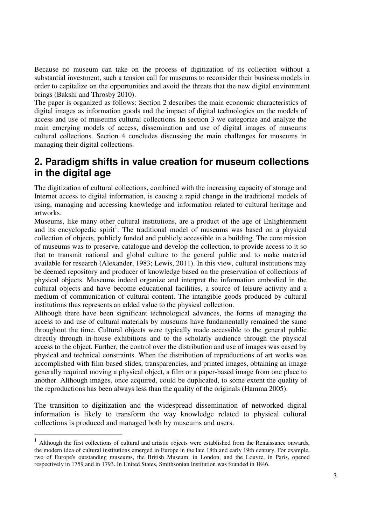Because no museum can take on the process of digitization of its collection without a substantial investment, such a tension call for museums to reconsider their business models in order to capitalize on the opportunities and avoid the threats that the new digital environment brings (Bakshi and Throsby 2010).

The paper is organized as follows: Section 2 describes the main economic characteristics of digital images as information goods and the impact of digital technologies on the models of access and use of museums cultural collections. In section 3 we categorize and analyze the main emerging models of access, dissemination and use of digital images of museums cultural collections. Section 4 concludes discussing the main challenges for museums in managing their digital collections.

## **2. Paradigm shifts in value creation for museum collections in the digital age**

The digitization of cultural collections, combined with the increasing capacity of storage and Internet access to digital information, is causing a rapid change in the traditional models of using, managing and accessing knowledge and information related to cultural heritage and artworks.

Museums, like many other cultural institutions, are a product of the age of Enlightenment and its encyclopedic spirit<sup>1</sup>. The traditional model of museums was based on a physical collection of objects, publicly funded and publicly accessible in a building. The core mission of museums was to preserve, catalogue and develop the collection, to provide access to it so that to transmit national and global culture to the general public and to make material available for research (Alexander, 1983; Lewis, 2011). In this view, cultural institutions may be deemed repository and producer of knowledge based on the preservation of collections of physical objects. Museums indeed organize and interpret the information embodied in the cultural objects and have become educational facilities, a source of leisure activity and a medium of communication of cultural content. The intangible goods produced by cultural institutions thus represents an added value to the physical collection.

Although there have been significant technological advances, the forms of managing the access to and use of cultural materials by museums have fundamentally remained the same throughout the time. Cultural objects were typically made accessible to the general public directly through in-house exhibitions and to the scholarly audience through the physical access to the object. Further, the control over the distribution and use of images was eased by physical and technical constraints. When the distribution of reproductions of art works was accomplished with film-based slides, transparencies, and printed images, obtaining an image generally required moving a physical object, a film or a paper-based image from one place to another. Although images, once acquired, could be duplicated, to some extent the quality of the reproductions has been always less than the quality of the originals (Hamma 2005).

The transition to digitization and the widespread dissemination of networked digital information is likely to transform the way knowledge related to physical cultural collections is produced and managed both by museums and users.

-

<sup>1</sup> Although the first collections of cultural and artistic objects were established from the Renaissance onwards, the modern idea of cultural institutions emerged in Europe in the late 18th and early 19th century. For example, two of Europe's outstanding museums, the British Museum, in London, and the Louvre, in Paris, opened respectively in 1759 and in 1793. In United States, Smithsonian Institution was founded in 1846.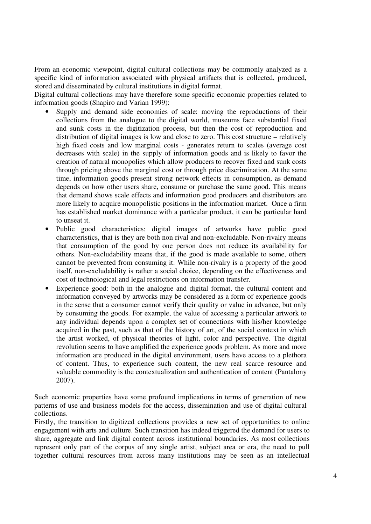From an economic viewpoint, digital cultural collections may be commonly analyzed as a specific kind of information associated with physical artifacts that is collected, produced, stored and disseminated by cultural institutions in digital format.

Digital cultural collections may have therefore some specific economic properties related to information goods (Shapiro and Varian 1999):

- Supply and demand side economies of scale: moving the reproductions of their collections from the analogue to the digital world, museums face substantial fixed and sunk costs in the digitization process, but then the cost of reproduction and distribution of digital images is low and close to zero. This cost structure – relatively high fixed costs and low marginal costs - generates return to scales (average cost decreases with scale) in the supply of information goods and is likely to favor the creation of natural monopolies which allow producers to recover fixed and sunk costs through pricing above the marginal cost or through price discrimination. At the same time, information goods present strong network effects in consumption, as demand depends on how other users share, consume or purchase the same good. This means that demand shows scale effects and information good producers and distributors are more likely to acquire monopolistic positions in the information market. Once a firm has established market dominance with a particular product, it can be particular hard to unseat it.
- Public good characteristics: digital images of artworks have public good characteristics, that is they are both non rival and non-excludable. Non-rivalry means that consumption of the good by one person does not reduce its availability for others. Non-excludability means that, if the good is made available to some, others cannot be prevented from consuming it. While non-rivalry is a property of the good itself, non-excludability is rather a social choice, depending on the effectiveness and cost of technological and legal restrictions on information transfer.
- Experience good: both in the analogue and digital format, the cultural content and information conveyed by artworks may be considered as a form of experience goods in the sense that a consumer cannot verify their quality or value in advance, but only by consuming the goods. For example, the value of accessing a particular artwork to any individual depends upon a complex set of connections with his/her knowledge acquired in the past, such as that of the history of art, of the social context in which the artist worked, of physical theories of light, color and perspective. The digital revolution seems to have amplified the experience goods problem. As more and more information are produced in the digital environment, users have access to a plethora of content. Thus, to experience such content, the new real scarce resource and valuable commodity is the contextualization and authentication of content (Pantalony 2007).

Such economic properties have some profound implications in terms of generation of new patterns of use and business models for the access, dissemination and use of digital cultural collections.

Firstly, the transition to digitized collections provides a new set of opportunities to online engagement with arts and culture. Such transition has indeed triggered the demand for users to share, aggregate and link digital content across institutional boundaries. As most collections represent only part of the corpus of any single artist, subject area or era, the need to pull together cultural resources from across many institutions may be seen as an intellectual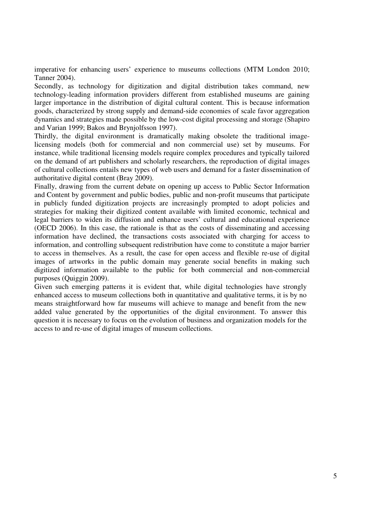imperative for enhancing users' experience to museums collections (MTM London 2010; Tanner 2004).

Secondly, as technology for digitization and digital distribution takes command, new technology-leading information providers different from established museums are gaining larger importance in the distribution of digital cultural content. This is because information goods, characterized by strong supply and demand-side economies of scale favor aggregation dynamics and strategies made possible by the low-cost digital processing and storage (Shapiro and Varian 1999; Bakos and Brynjolfsson 1997).

Thirdly, the digital environment is dramatically making obsolete the traditional imagelicensing models (both for commercial and non commercial use) set by museums. For instance, while traditional licensing models require complex procedures and typically tailored on the demand of art publishers and scholarly researchers, the reproduction of digital images of cultural collections entails new types of web users and demand for a faster dissemination of authoritative digital content (Bray 2009).

Finally, drawing from the current debate on opening up access to Public Sector Information and Content by government and public bodies, public and non-profit museums that participate in publicly funded digitization projects are increasingly prompted to adopt policies and strategies for making their digitized content available with limited economic, technical and legal barriers to widen its diffusion and enhance users' cultural and educational experience (OECD 2006). In this case, the rationale is that as the costs of disseminating and accessing information have declined, the transactions costs associated with charging for access to information, and controlling subsequent redistribution have come to constitute a major barrier to access in themselves. As a result, the case for open access and flexible re-use of digital images of artworks in the public domain may generate social benefits in making such digitized information available to the public for both commercial and non-commercial purposes (Quiggin 2009).

Given such emerging patterns it is evident that, while digital technologies have strongly enhanced access to museum collections both in quantitative and qualitative terms, it is by no means straightforward how far museums will achieve to manage and benefit from the new added value generated by the opportunities of the digital environment. To answer this question it is necessary to focus on the evolution of business and organization models for the access to and re-use of digital images of museum collections.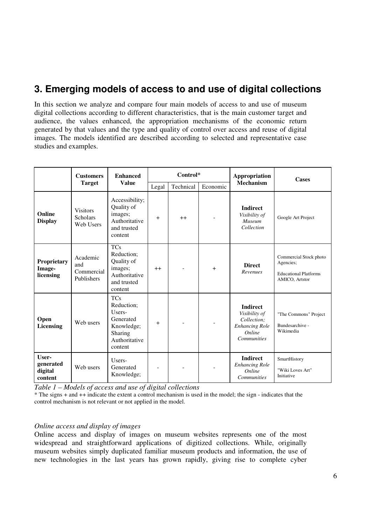## **3. Emerging models of access to and use of digital collections**

In this section we analyze and compare four main models of access to and use of museum digital collections according to different characteristics, that is the main customer target and audience, the values enhanced, the appropriation mechanisms of the economic return generated by that values and the type and quality of control over access and reuse of digital images. The models identified are described according to selected and representative case studies and examples.

|                                          | <b>Customers</b>                                | <b>Enhanced</b><br><b>Value</b>                                                                      | Control*  |           |          | Appropriation                                                                                     | <b>Cases</b>                                                                          |
|------------------------------------------|-------------------------------------------------|------------------------------------------------------------------------------------------------------|-----------|-----------|----------|---------------------------------------------------------------------------------------------------|---------------------------------------------------------------------------------------|
|                                          | <b>Target</b>                                   |                                                                                                      | Legal     | Technical | Economic | <b>Mechanism</b>                                                                                  |                                                                                       |
| Online<br><b>Display</b>                 | <b>Visitors</b><br><b>Scholars</b><br>Web Users | Accessibility;<br>Quality of<br>images;<br>Authoritative<br>and trusted<br>content                   | $+$       | $++$      |          | <b>Indirect</b><br>Visibility of<br><b>Museum</b><br>Collection                                   | Google Art Project                                                                    |
| Proprietary<br>Image-<br>licensing       | Academic<br>and<br>Commercial<br>Publishers     | <b>TCs</b><br>Reduction;<br>Quality of<br>images;<br>Authoritative<br>and trusted<br>content         | $^{++}$   |           | $+$      | <b>Direct</b><br><b>Revenues</b>                                                                  | Commercial Stock photo<br>Agencies;<br><b>Educational Platforms</b><br>AMICO, Artstor |
| Open<br><b>Licensing</b>                 | Web users                                       | <b>TCs</b><br>Reduction;<br>Users-<br>Generated<br>Knowledge;<br>Sharing<br>Authoritative<br>content | $\ddot{}$ |           |          | <b>Indirect</b><br>Visibility of<br>Collection:<br><b>Enhancing Role</b><br>Online<br>Communities | "The Commons" Project<br>Bundesarchive -<br>Wikimedia                                 |
| User-<br>generated<br>digital<br>content | Web users                                       | Users-<br>Generated<br>Knowledge;                                                                    |           |           |          | <b>Indirect</b><br><b>Enhancing Role</b><br>Online<br>Communities                                 | SmartHistory<br>"Wiki Loves Art"<br>Initiative                                        |

*Table 1 – Models of access and use of digital collections* 

\* The signs + and ++ indicate the extent a control mechanism is used in the model; the sign - indicates that the control mechanism is not relevant or not applied in the model.

### *Online access and display of images*

Online access and display of images on museum websites represents one of the most widespread and straightforward applications of digitized collections. While, originally museum websites simply duplicated familiar museum products and information, the use of new technologies in the last years has grown rapidly, giving rise to complete cyber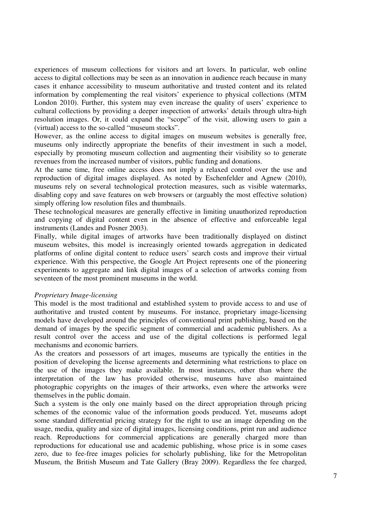experiences of museum collections for visitors and art lovers. In particular, web online access to digital collections may be seen as an innovation in audience reach because in many cases it enhance accessibility to museum authoritative and trusted content and its related information by complementing the real visitors' experience to physical collections (MTM London 2010). Further, this system may even increase the quality of users' experience to cultural collections by providing a deeper inspection of artworks' details through ultra-high resolution images. Or, it could expand the "scope" of the visit, allowing users to gain a (virtual) access to the so-called "museum stocks".

However, as the online access to digital images on museum websites is generally free, museums only indirectly appropriate the benefits of their investment in such a model, especially by promoting museum collection and augmenting their visibility so to generate revenues from the increased number of visitors, public funding and donations.

At the same time, free online access does not imply a relaxed control over the use and reproduction of digital images displayed. As noted by Eschenfelder and Agnew (2010), museums rely on several technological protection measures, such as visible watermarks, disabling copy and save features on web browsers or (arguably the most effective solution) simply offering low resolution files and thumbnails.

These technological measures are generally effective in limiting unauthorized reproduction and copying of digital content even in the absence of effective and enforceable legal instruments (Landes and Posner 2003).

Finally, while digital images of artworks have been traditionally displayed on distinct museum websites, this model is increasingly oriented towards aggregation in dedicated platforms of online digital content to reduce users' search costs and improve their virtual experience. With this perspective, the Google Art Project represents one of the pioneering experiments to aggregate and link digital images of a selection of artworks coming from seventeen of the most prominent museums in the world.

#### *Proprietary Image-licensing*

This model is the most traditional and established system to provide access to and use of authoritative and trusted content by museums. For instance, proprietary image-licensing models have developed around the principles of conventional print publishing, based on the demand of images by the specific segment of commercial and academic publishers. As a result control over the access and use of the digital collections is performed legal mechanisms and economic barriers.

As the creators and possessors of art images, museums are typically the entities in the position of developing the license agreements and determining what restrictions to place on the use of the images they make available. In most instances, other than where the interpretation of the law has provided otherwise, museums have also maintained photographic copyrights on the images of their artworks, even where the artworks were themselves in the public domain.

Such a system is the only one mainly based on the direct appropriation through pricing schemes of the economic value of the information goods produced. Yet, museums adopt some standard differential pricing strategy for the right to use an image depending on the usage, media, quality and size of digital images, licensing conditions, print run and audience reach. Reproductions for commercial applications are generally charged more than reproductions for educational use and academic publishing, whose price is in some cases zero, due to fee-free images policies for scholarly publishing, like for the Metropolitan Museum, the British Museum and Tate Gallery (Bray 2009). Regardless the fee charged,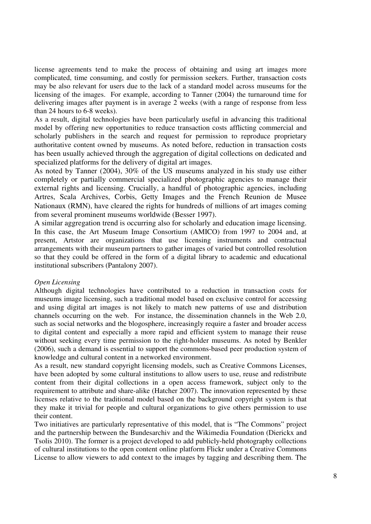license agreements tend to make the process of obtaining and using art images more complicated, time consuming, and costly for permission seekers. Further, transaction costs may be also relevant for users due to the lack of a standard model across museums for the licensing of the images. For example, according to Tanner (2004) the turnaround time for delivering images after payment is in average 2 weeks (with a range of response from less than 24 hours to 6-8 weeks).

As a result, digital technologies have been particularly useful in advancing this traditional model by offering new opportunities to reduce transaction costs afflicting commercial and scholarly publishers in the search and request for permission to reproduce proprietary authoritative content owned by museums. As noted before, reduction in transaction costs has been usually achieved through the aggregation of digital collections on dedicated and specialized platforms for the delivery of digital art images.

As noted by Tanner (2004), 30% of the US museums analyzed in his study use either completely or partially commercial specialized photographic agencies to manage their external rights and licensing. Crucially, a handful of photographic agencies, including Artres, Scala Archives, Corbis, Getty Images and the French Reunion de Musee Nationaux (RMN), have cleared the rights for hundreds of millions of art images coming from several prominent museums worldwide (Besser 1997).

A similar aggregation trend is occurring also for scholarly and education image licensing. In this case, the Art Museum Image Consortium (AMICO) from 1997 to 2004 and, at present, Artstor are organizations that use licensing instruments and contractual arrangements with their museum partners to gather images of varied but controlled resolution so that they could be offered in the form of a digital library to academic and educational institutional subscribers (Pantalony 2007).

### *Open Licensing*

Although digital technologies have contributed to a reduction in transaction costs for museums image licensing, such a traditional model based on exclusive control for accessing and using digital art images is not likely to match new patterns of use and distribution channels occurring on the web. For instance, the dissemination channels in the Web 2.0, such as social networks and the blogosphere, increasingly require a faster and broader access to digital content and especially a more rapid and efficient system to manage their reuse without seeking every time permission to the right-holder museums. As noted by Benkler (2006), such a demand is essential to support the commons-based peer production system of knowledge and cultural content in a networked environment.

As a result, new standard copyright licensing models, such as Creative Commons Licenses, have been adopted by some cultural institutions to allow users to use, reuse and redistribute content from their digital collections in a open access framework, subject only to the requirement to attribute and share-alike (Hatcher 2007). The innovation represented by these licenses relative to the traditional model based on the background copyright system is that they make it trivial for people and cultural organizations to give others permission to use their content.

Two initiatives are particularly representative of this model, that is "The Commons" project and the partnership between the Bundesarchiv and the Wikimedia Foundation (Dierickx and Tsolis 2010). The former is a project developed to add publicly-held photography collections of cultural institutions to the open content online platform Flickr under a Creative Commons License to allow viewers to add context to the images by tagging and describing them. The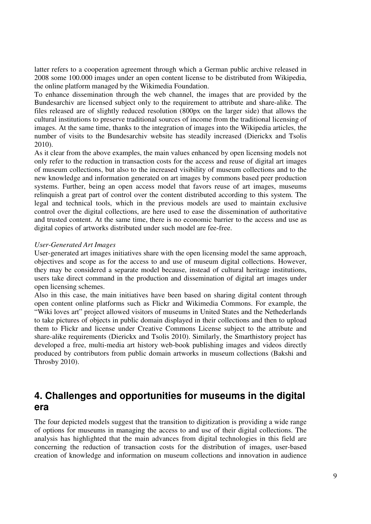latter refers to a cooperation agreement through which a German public archive released in 2008 some 100.000 images under an open content license to be distributed from Wikipedia, the online platform managed by the Wikimedia Foundation.

To enhance dissemination through the web channel, the images that are provided by the Bundesarchiv are licensed subject only to the requirement to attribute and share-alike. The files released are of slightly reduced resolution (800px on the larger side) that allows the cultural institutions to preserve traditional sources of income from the traditional licensing of images. At the same time, thanks to the integration of images into the Wikipedia articles, the number of visits to the Bundesarchiv website has steadily increased (Dierickx and Tsolis 2010).

As it clear from the above examples, the main values enhanced by open licensing models not only refer to the reduction in transaction costs for the access and reuse of digital art images of museum collections, but also to the increased visibility of museum collections and to the new knowledge and information generated on art images by commons based peer production systems. Further, being an open access model that favors reuse of art images, museums relinquish a great part of control over the content distributed according to this system. The legal and technical tools, which in the previous models are used to maintain exclusive control over the digital collections, are here used to ease the dissemination of authoritative and trusted content. At the same time, there is no economic barrier to the access and use as digital copies of artworks distributed under such model are fee-free.

#### *User-Generated Art Images*

User-generated art images initiatives share with the open licensing model the same approach, objectives and scope as for the access to and use of museum digital collections. However, they may be considered a separate model because, instead of cultural heritage institutions, users take direct command in the production and dissemination of digital art images under open licensing schemes.

Also in this case, the main initiatives have been based on sharing digital content through open content online platforms such as Flickr and Wikimedia Commons. For example, the "Wiki loves art" project allowed visitors of museums in United States and the Nethederlands to take pictures of objects in public domain displayed in their collections and then to upload them to Flickr and license under Creative Commons License subject to the attribute and share-alike requirements (Dierickx and Tsolis 2010). Similarly, the Smarthistory project has developed a free, multi-media art history web-book publishing images and videos directly produced by contributors from public domain artworks in museum collections (Bakshi and Throsby 2010).

## **4. Challenges and opportunities for museums in the digital era**

The four depicted models suggest that the transition to digitization is providing a wide range of options for museums in managing the access to and use of their digital collections. The analysis has highlighted that the main advances from digital technologies in this field are concerning the reduction of transaction costs for the distribution of images, user-based creation of knowledge and information on museum collections and innovation in audience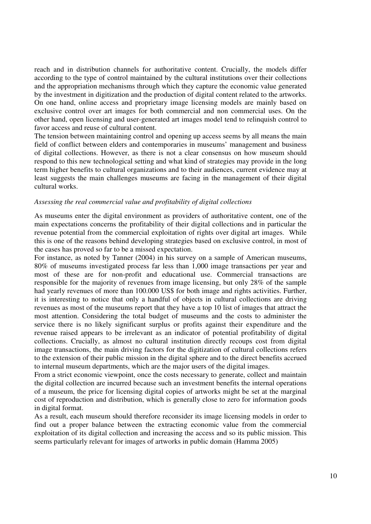reach and in distribution channels for authoritative content. Crucially, the models differ according to the type of control maintained by the cultural institutions over their collections and the appropriation mechanisms through which they capture the economic value generated by the investment in digitization and the production of digital content related to the artworks. On one hand, online access and proprietary image licensing models are mainly based on exclusive control over art images for both commercial and non commercial uses. On the other hand, open licensing and user-generated art images model tend to relinquish control to favor access and reuse of cultural content.

The tension between maintaining control and opening up access seems by all means the main field of conflict between elders and contemporaries in museums' management and business of digital collections. However, as there is not a clear consensus on how museum should respond to this new technological setting and what kind of strategies may provide in the long term higher benefits to cultural organizations and to their audiences, current evidence may at least suggests the main challenges museums are facing in the management of their digital cultural works.

### *Assessing the real commercial value and profitability of digital collections*

As museums enter the digital environment as providers of authoritative content, one of the main expectations concerns the profitability of their digital collections and in particular the revenue potential from the commercial exploitation of rights over digital art images. While this is one of the reasons behind developing strategies based on exclusive control, in most of the cases has proved so far to be a missed expectation.

For instance, as noted by Tanner (2004) in his survey on a sample of American museums, 80% of museums investigated process far less than 1,000 image transactions per year and most of these are for non-profit and educational use. Commercial transactions are responsible for the majority of revenues from image licensing, but only 28% of the sample had yearly revenues of more than 100.000 US\$ for both image and rights activities. Further, it is interesting to notice that only a handful of objects in cultural collections are driving revenues as most of the museums report that they have a top 10 list of images that attract the most attention. Considering the total budget of museums and the costs to administer the service there is no likely significant surplus or profits against their expenditure and the revenue raised appears to be irrelevant as an indicator of potential profitability of digital collections. Crucially, as almost no cultural institution directly recoups cost from digital image transactions, the main driving factors for the digitization of cultural collections refers to the extension of their public mission in the digital sphere and to the direct benefits accrued to internal museum departments, which are the major users of the digital images.

From a strict economic viewpoint, once the costs necessary to generate, collect and maintain the digital collection are incurred because such an investment benefits the internal operations of a museum, the price for licensing digital copies of artworks might be set at the marginal cost of reproduction and distribution, which is generally close to zero for information goods in digital format.

As a result, each museum should therefore reconsider its image licensing models in order to find out a proper balance between the extracting economic value from the commercial exploitation of its digital collection and increasing the access and so its public mission. This seems particularly relevant for images of artworks in public domain (Hamma 2005)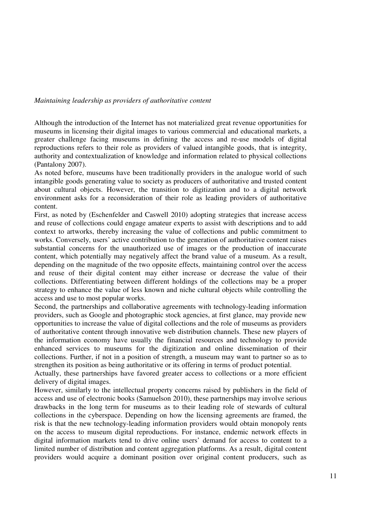### *Maintaining leadership as providers of authoritative content*

Although the introduction of the Internet has not materialized great revenue opportunities for museums in licensing their digital images to various commercial and educational markets, a greater challenge facing museums in defining the access and re-use models of digital reproductions refers to their role as providers of valued intangible goods, that is integrity, authority and contextualization of knowledge and information related to physical collections (Pantalony 2007).

As noted before, museums have been traditionally providers in the analogue world of such intangible goods generating value to society as producers of authoritative and trusted content about cultural objects. However, the transition to digitization and to a digital network environment asks for a reconsideration of their role as leading providers of authoritative content.

First, as noted by (Eschenfelder and Caswell 2010) adopting strategies that increase access and reuse of collections could engage amateur experts to assist with descriptions and to add context to artworks, thereby increasing the value of collections and public commitment to works. Conversely, users' active contribution to the generation of authoritative content raises substantial concerns for the unauthorized use of images or the production of inaccurate content, which potentially may negatively affect the brand value of a museum. As a result, depending on the magnitude of the two opposite effects, maintaining control over the access and reuse of their digital content may either increase or decrease the value of their collections. Differentiating between different holdings of the collections may be a proper strategy to enhance the value of less known and niche cultural objects while controlling the access and use to most popular works.

Second, the partnerships and collaborative agreements with technology-leading information providers, such as Google and photographic stock agencies, at first glance, may provide new opportunities to increase the value of digital collections and the role of museums as providers of authoritative content through innovative web distribution channels. These new players of the information economy have usually the financial resources and technology to provide enhanced services to museums for the digitization and online dissemination of their collections. Further, if not in a position of strength, a museum may want to partner so as to strengthen its position as being authoritative or its offering in terms of product potential.

Actually, these partnerships have favored greater access to collections or a more efficient delivery of digital images.

However, similarly to the intellectual property concerns raised by publishers in the field of access and use of electronic books (Samuelson 2010), these partnerships may involve serious drawbacks in the long term for museums as to their leading role of stewards of cultural collections in the cyberspace. Depending on how the licensing agreements are framed, the risk is that the new technology-leading information providers would obtain monopoly rents on the access to museum digital reproductions. For instance, endemic network effects in digital information markets tend to drive online users' demand for access to content to a limited number of distribution and content aggregation platforms. As a result, digital content providers would acquire a dominant position over original content producers, such as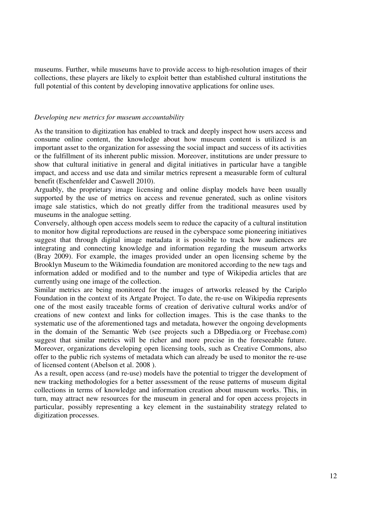museums. Further, while museums have to provide access to high-resolution images of their collections, these players are likely to exploit better than established cultural institutions the full potential of this content by developing innovative applications for online uses.

### *Developing new metrics for museum accountability*

As the transition to digitization has enabled to track and deeply inspect how users access and consume online content, the knowledge about how museum content is utilized is an important asset to the organization for assessing the social impact and success of its activities or the fulfillment of its inherent public mission. Moreover, institutions are under pressure to show that cultural initiative in general and digital initiatives in particular have a tangible impact, and access and use data and similar metrics represent a measurable form of cultural benefit (Eschenfelder and Caswell 2010).

Arguably, the proprietary image licensing and online display models have been usually supported by the use of metrics on access and revenue generated, such as online visitors image sale statistics, which do not greatly differ from the traditional measures used by museums in the analogue setting.

Conversely, although open access models seem to reduce the capacity of a cultural institution to monitor how digital reproductions are reused in the cyberspace some pioneering initiatives suggest that through digital image metadata it is possible to track how audiences are integrating and connecting knowledge and information regarding the museum artworks (Bray 2009). For example, the images provided under an open licensing scheme by the Brooklyn Museum to the Wikimedia foundation are monitored according to the new tags and information added or modified and to the number and type of Wikipedia articles that are currently using one image of the collection.

Similar metrics are being monitored for the images of artworks released by the Cariplo Foundation in the context of its Artgate Project. To date, the re-use on Wikipedia represents one of the most easily traceable forms of creation of derivative cultural works and/or of creations of new context and links for collection images. This is the case thanks to the systematic use of the aforementioned tags and metadata, however the ongoing developments in the domain of the Semantic Web (see projects such a DBpedia.org or Freebase.com) suggest that similar metrics will be richer and more precise in the foreseeable future. Moreover, organizations developing open licensing tools, such as Creative Commons, also offer to the public rich systems of metadata which can already be used to monitor the re-use of licensed content (Abelson et al. 2008 ).

As a result, open access (and re-use) models have the potential to trigger the development of new tracking methodologies for a better assessment of the reuse patterns of museum digital collections in terms of knowledge and information creation about museum works. This, in turn, may attract new resources for the museum in general and for open access projects in particular, possibly representing a key element in the sustainability strategy related to digitization processes.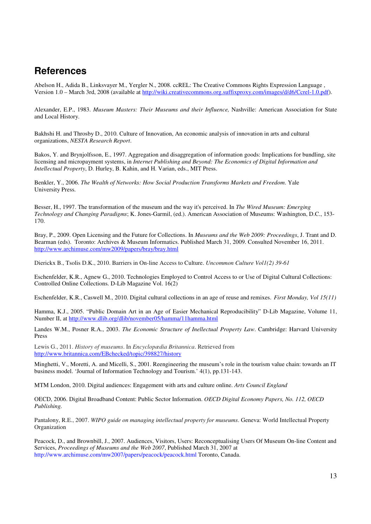## **References**

Abelson H., Adida B., Linksvayer M., Yergler N., 2008. ccREL: The Creative Commons Rights Expression Language , Version 1.0 – March 3rd, 2008 (available at http://wiki.creativecommons.org.suffixproxy.com/images/d/d6/Ccrel-1.0.pdf).

Alexander, E.P., 1983. *Museum Masters: Their Museums and their Influence,* Nashville: American Association for State and Local History.

Bakhshi H. and Throsby D., 2010. Culture of Innovation, An economic analysis of innovation in arts and cultural organizations, *NESTA Research Report*.

Bakos, Y. and Brynjolfsson, E., 1997. Aggregation and disaggregation of information goods: Implications for bundling, site licensing and micropayment systems, in *Internet Publishing and Beyond: The Economics of Digital Information and Intellectual Property*, D. Hurley, B. Kahin, and H. Varian, eds., MIT Press.

Benkler, Y., 2006. *The Wealth of Networks: How Social Production Transforms Markets and Freedom*. Yale University Press.

Besser, H., 1997. The transformation of the museum and the way it's perceived. In *The Wired Museum: Emerging Technology and Changing Paradigms*; K. Jones-Garmil, (ed.). American Association of Museums: Washington, D.C., 153- 170.

Bray, P., 2009. Open Licensing and the Future for Collections. In *Museums and the Web 2009: Proceedings*, J. Trant and D. Bearman (eds). Toronto: Archives & Museum Informatics. Published March 31, 2009. Consulted November 16, 2011. http://www.archimuse.com/mw2009/papers/bray/bray.html

Dierickx B., Tsolis D.K., 2010. Barriers in On-line Access to Culture. *Uncommon Culture Vol1(2) 39-61*

Eschenfelder, K.R., Agnew G., 2010. Technologies Employed to Control Access to or Use of Digital Cultural Collections: Controlled Online Collections. D-Lib Magazine Vol. 16(2)

Eschenfelder, K.R., Caswell M., 2010. Digital cultural collections in an age of reuse and remixes. *First Monday, Vol 15(11)*

Hamma, K.J., 2005. "Public Domain Art in an Age of Easier Mechanical Reproducibility" D-Lib Magazine, Volume 11, Number II, at http://www.dlib.org/dlib/november05/hamma/11hamma.html

Landes W.M., Posner R.A., 2003. *The Economic Structure of Inellectual Property Law*. Cambridge: Harvard University Press

Lewis G., 2011. *History of museums*. In *Encyclopædia Britannica*. Retrieved from http://www.britannica.com/EBchecked/topic/398827/history

Minghetti, V., Moretti, A. and Micelli, S., 2001. Reengineering the museum's role in the tourism value chain: towards an IT business model. 'Journal of Information Technology and Tourism.' 4(1), pp.131-143.

MTM London, 2010. Digital audiences: Engagement with arts and culture online. *Arts Council England* 

OECD, 2006. Digital Broadband Content: Public Sector Information. *OECD Digital Economy Papers, No. 112, OECD Publishing.* 

Pantalony, R.E., 2007. *WIPO guide on managing intellectual property for museums*. Geneva: World Intellectual Property Organization

Peacock, D., and Brownbill, J., 2007. Audiences, Visitors, Users: Reconceptualising Users Of Museum On-line Content and Services, *Proceedings of Museums and the Web 2007*, Published March 31, 2007 at http://www.archimuse.com/mw2007/papers/peacock/peacock.html Toronto, Canada.